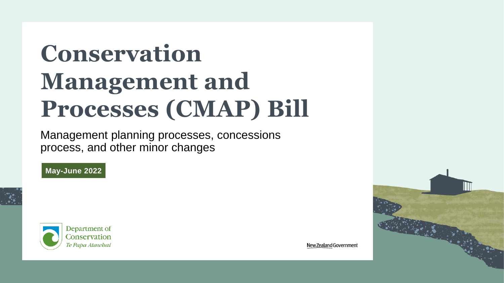# **Conservation Management and Processes (CMAP) Bill**

Management planning processes, concessions process, and other minor changes

#### **May-June 2022**





New Zealand Government

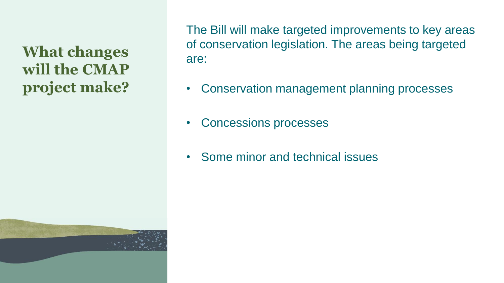**What changes will the CMAP project make?**

The Bill will make targeted improvements to key areas of conservation legislation. The areas being targeted are:

- Conservation management planning processes
- Concessions processes
- Some minor and technical issues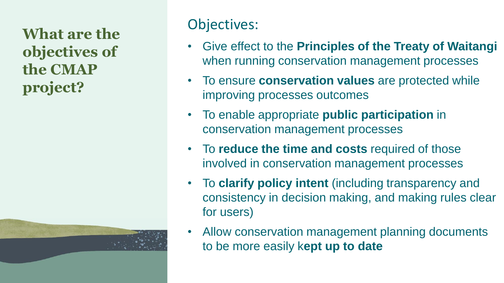**What are the objectives of the CMAP project?**

### Objectives:

- Give effect to the **Principles of the Treaty of Waitangi**  when running conservation management processes
- To ensure **conservation values** are protected while improving processes outcomes
- To enable appropriate **public participation** in conservation management processes
- To **reduce the time and costs** required of those involved in conservation management processes
- To **clarify policy intent** (including transparency and consistency in decision making, and making rules clear for users)
- Allow conservation management planning documents to be more easily k**ept up to date**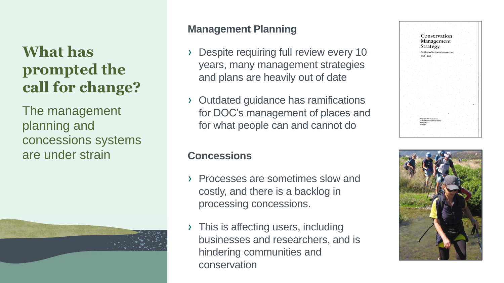## **What has prompted the call for change?**

The management planning and concessions systems are under strain



### **Management Planning**

- Despite requiring full review every 10 years, many management strategies and plans are heavily out of date
- › Outdated guidance has ramifications for DOC's management of places and for what people can and cannot do

#### **Concessions**

- › Processes are sometimes slow and costly, and there is a backlog in processing concessions.
- › This is affecting users, including businesses and researchers, and is hindering communities and conservation



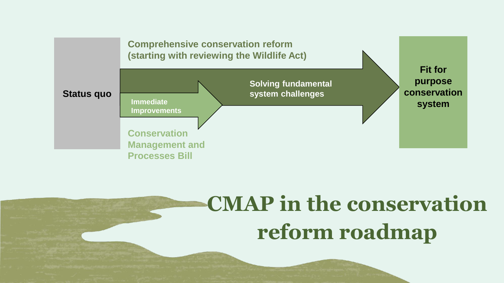

## **CMAP in the conservation reform roadmap**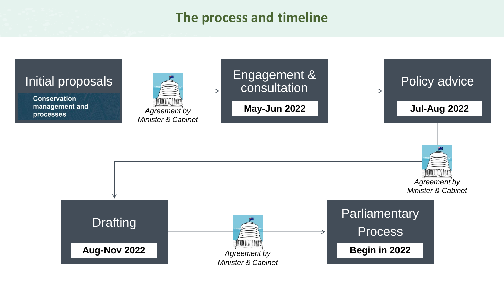### **The process and timeline**

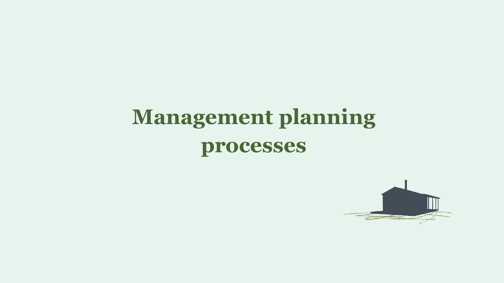

# **processes**

# **Management planning**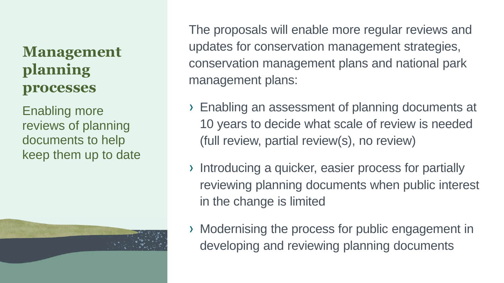### **Management planning processes**

Enabling more reviews of planning documents to help keep them up to date

The proposals will enable more regular reviews and updates for conservation management strategies, conservation management plans and national park management plans:

- › Enabling an assessment of planning documents at 10 years to decide what scale of review is needed (full review, partial review(s), no review)
- › Introducing a quicker, easier process for partially reviewing planning documents when public interest in the change is limited
- › Modernising the process for public engagement in developing and reviewing planning documents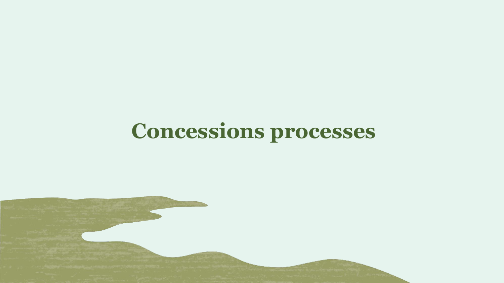## **Concessions processes**

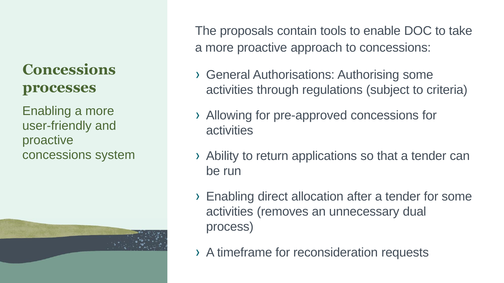### **Concessions processes**

Enabling a more user-friendly and proactive concessions system



The proposals contain tools to enable DOC to take a more proactive approach to concessions:

- › General Authorisations: Authorising some activities through regulations (subject to criteria)
- › Allowing for pre-approved concessions for **activities**
- › Ability to return applications so that a tender can be run
- › Enabling direct allocation after a tender for some activities (removes an unnecessary dual process)
- › A timeframe for reconsideration requests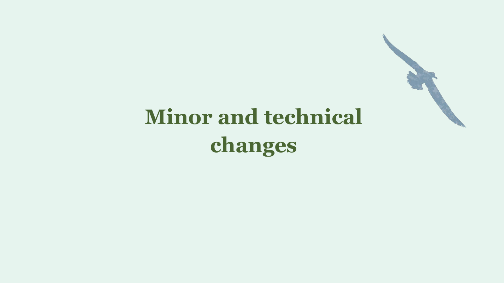

# **Minor and technical changes**